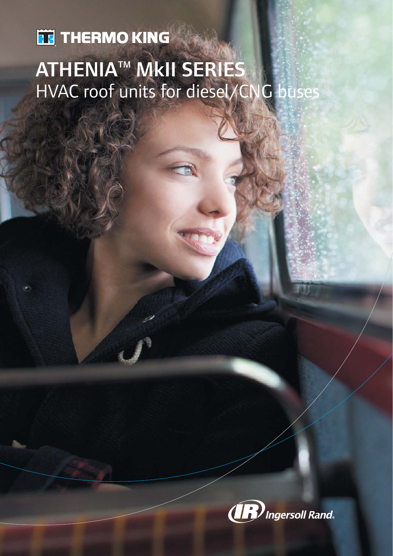# **TE THERMO KING** ATHENIA™ MkII SERIES HVAC roof units for diesel/CNG buses

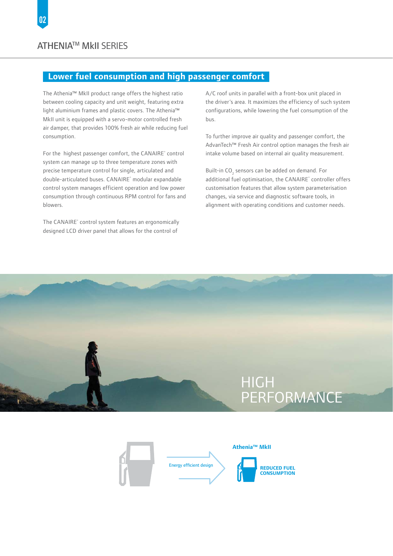# **Lower fuel consumption and high passenger comfort**

The Athenia™ MkII product range offers the highest ratio between cooling capacity and unit weight, featuring extra light aluminium frames and plastic covers. The Athenia™ MkII unit is equipped with a servo-motor controlled fresh air damper, that provides 100% fresh air while reducing fuel consumption.

For the highest passenger comfort, the CANAIRE® control system can manage up to three temperature zones with precise temperature control for single, articulated and double-articulated buses. CANAIRE<sup>®</sup> modular expandable control system manages efficient operation and low power consumption through continuous RPM control for fans and blowers.

The CANAIRE<sup>®</sup> control system features an ergonomically designed LCD driver panel that allows for the control of

A/C roof units in parallel with a front-box unit placed in the driver´s area. It maximizes the efficiency of such system configurations, while lowering the fuel consumption of the bus.

To further improve air quality and passenger comfort, the AdvanTech™ Fresh Air control option manages the fresh air intake volume based on internal air quality measurement.

Built-in  $CO_2$  sensors can be added on demand. For additional fuel optimisation, the CANAIRE® controller offers customisation features that allow system parameterisation changes, via service and diagnostic software tools, in alignment with operating conditions and customer needs.

# **HIGH PERFORMANCE**

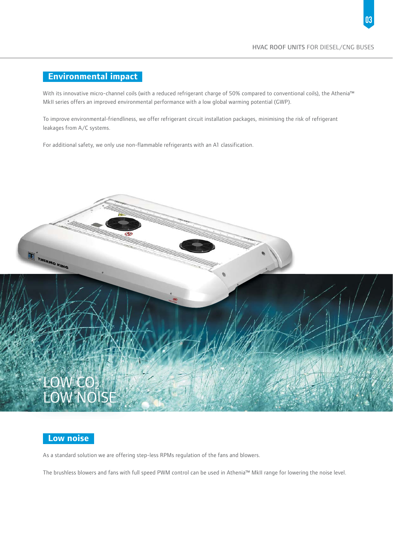#### **Environmental impact**

With its innovative micro-channel coils (with a reduced refrigerant charge of 50% compared to conventional coils), the Athenia™ MkII series offers an improved environmental performance with a low global warming potential (GWP).

To improve environmental-friendliness, we offer refrigerant circuit installation packages, minimising the risk of refrigerant leakages from A/C systems.

For additional safety, we only use non-flammable refrigerants with an A1 classification.





As a standard solution we are offering step-less RPMs regulation of the fans and blowers.

The brushless blowers and fans with full speed PWM control can be used in Athenia™ MkII range for lowering the noise level.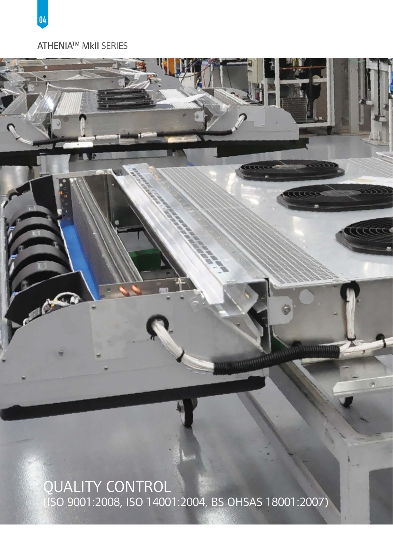



04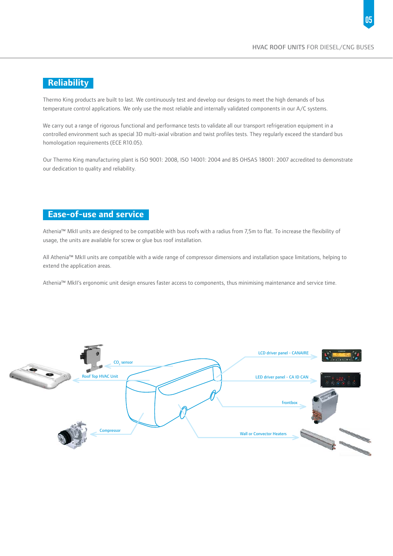## **Reliability**

Thermo King products are built to last. We continuously test and develop our designs to meet the high demands of bus temperature control applications. We only use the most reliable and internally validated components in our A/C systems.

We carry out a range of rigorous functional and performance tests to validate all our transport refrigeration equipment in a controlled environment such as special 3D multi-axial vibration and twist profiles tests. They regularly exceed the standard bus homologation requirements (ECE R10.05).

Our Thermo King manufacturing plant is ISO 9001: 2008, ISO 14001: 2004 and BS OHSAS 18001: 2007 accredited to demonstrate our dedication to quality and reliability.

## **Ease-of-use and service**

Athenia™ MkII units are designed to be compatible with bus roofs with a radius from 7,5m to flat. To increase the flexibility of usage, the units are available for screw or glue bus roof installation.

All Athenia™ MkII units are compatible with a wide range of compressor dimensions and installation space limitations, helping to extend the application areas.

Athenia™ MkII's ergonomic unit design ensures faster access to components, thus minimising maintenance and service time.

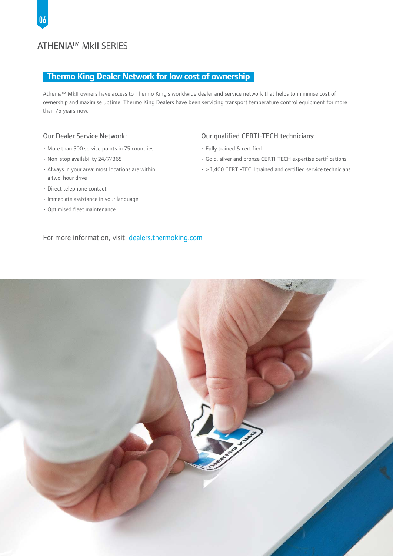#### ATHENIATM MkII SERIES

#### **Thermo King Dealer Network for low cost of ownership**

Athenia™ MkII owners have access to Thermo King's worldwide dealer and service network that helps to minimise cost of ownership and maximise uptime. Thermo King Dealers have been servicing transport temperature control equipment for more than 75 years now.

#### Our Dealer Service Network:

- More than 500 service points in 75 countries
- Non-stop availability 24/7/365
- Always in your area: most locations are within a two-hour drive
- Direct telephone contact
- Immediate assistance in your language
- Optimised fleet maintenance

#### Our qualified CERTI-TECH technicians:

- Fully trained & certified
- Gold, silver and bronze CERTI-TECH expertise certifications
- > 1,400 CERTI-TECH trained and certified service technicians

#### For more information, visit: dealers.thermoking.com

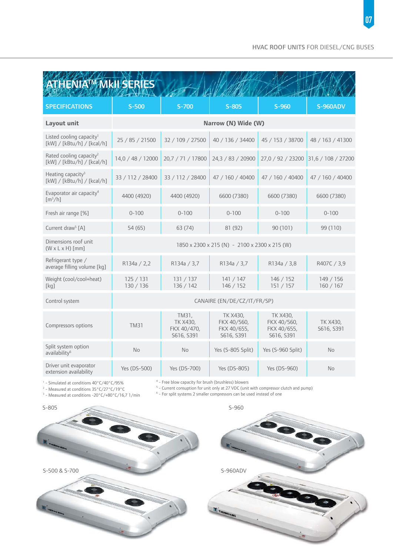| <b>ATHENIA<sup>M</sup> MKII SERIES</b>                               |                                               |                                                |                                                      |                                                      |                        |
|----------------------------------------------------------------------|-----------------------------------------------|------------------------------------------------|------------------------------------------------------|------------------------------------------------------|------------------------|
| <b>SPECIFICATIONS</b>                                                | $S-500$                                       | $S-700$                                        | $S-805$                                              | $S-960$                                              | <b>S-960ADV</b>        |
| Layout unit                                                          | Narrow (N) Wide (W)                           |                                                |                                                      |                                                      |                        |
| Listed cooling capacity <sup>1</sup><br>[kW] / [kBtu/h] / [kcal/h]   | 25 / 85 / 21500                               | 32 / 109 / 27500                               | 40 / 136 / 34400                                     | 45 / 153 / 38700                                     | 48 / 163 / 41300       |
| Rated cooling capacity <sup>2</sup><br>[kW] / [kBtu/h] / [kcal/h]    | 14,0 / 48 / 12000                             | 20,7 / 71 / 17800                              | 24,3 / 83 / 20900                                    | 27,0 / 92 / 23200                                    | 31,6 / 108 / 27200     |
| Heating capacity <sup>3</sup><br>[kW] / [kBtu/h] / [kcal/h]          | 33 / 112 / 28400                              | 33 / 112 / 28400                               | 47 / 160 / 40400                                     | 47 / 160 / 40400                                     | 47 / 160 / 40400       |
| Evaporator air capacity <sup>4</sup><br>$\left[\frac{m^3}{h}\right]$ | 4400 (4920)                                   | 4400 (4920)                                    | 6600 (7380)                                          | 6600 (7380)                                          | 6600 (7380)            |
| Fresh air range [%]                                                  | $0 - 100$                                     | $0 - 100$                                      | $0 - 100$                                            | $0 - 100$                                            | $0 - 100$              |
| Current draw <sup>5</sup> [A]                                        | 54 (65)                                       | 63 (74)                                        | 81 (92)                                              | 90 (101)                                             | 99 (110)               |
| Dimensions roof unit<br>$(W \times L \times H)$ [mm]                 | 1850 x 2300 x 215 (N) - 2100 x 2300 x 215 (W) |                                                |                                                      |                                                      |                        |
| Refrigerant type /<br>average filling volume [kg]                    | R134a / 2,2                                   | R134a / 3,7                                    | R134a / 3,7                                          | R134a / 3,8                                          | R407C / 3,9            |
| Weight (cool/cool+heat)<br>[kq]                                      | 125/131<br>130 / 136                          | 131 / 137<br>136 / 142                         | 141 / 147<br>146 / 152                               | 146 / 152<br>151 / 157                               | 149/156<br>160/167     |
| Control system                                                       | CANAIRE (EN/DE/CZ/IT/FR/SP)                   |                                                |                                                      |                                                      |                        |
| Compressors options                                                  | <b>TM31</b>                                   | TM31,<br>TK X430,<br>FKX 40/470,<br>S616, S391 | TK X430,<br>FKX 40/560,<br>FKX 40/655,<br>S616, S391 | TK X430,<br>FKX 40/560,<br>FKX 40/655,<br>S616, S391 | TK X430,<br>S616, S391 |
| Split system option<br>availability <sup>6</sup>                     | <b>No</b>                                     | No.                                            | Yes (S-805 Split)                                    | Yes (S-960 Split)                                    | <b>No</b>              |
| Driver unit evaporator<br>extension availability                     | Yes (DS-500)                                  | Yes (DS-700)                                   | Yes (DS-805)                                         | Yes (DS-960)                                         | No                     |

<sup>1</sup> - Simulated at conditions 40°C/40°C/95%<br><sup>2</sup> - Measured at conditions 35°C/27°C/19°C

<sup>4</sup> - Free blow capacity for brush (brushless) blowers<br><sup>5</sup> - Current consuption for unit only at 27 VDC (unit with compressor clutch and pump)<br><sup>6</sup> - For split systems 2 smaller compressors can be used instead of one